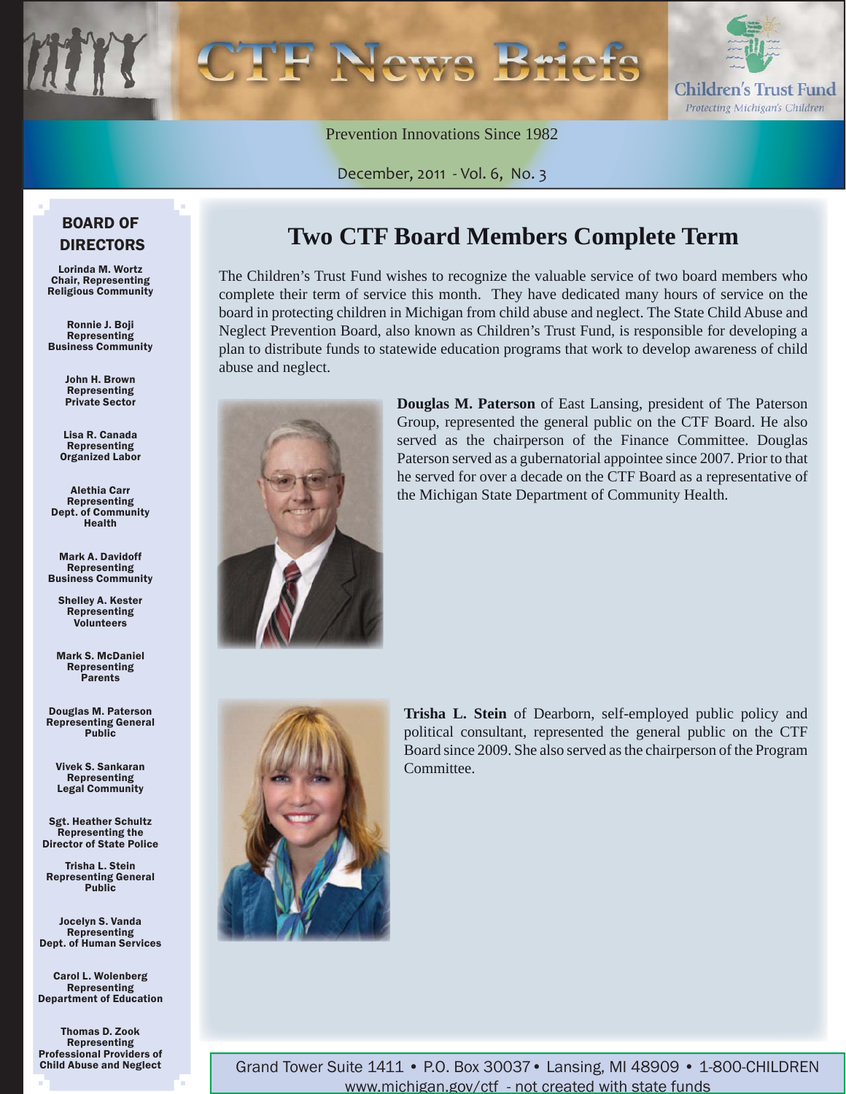

Prevention Innovations Since 1982

December, 2011 - Vol. 6, No. 3

#### BOARD OF DIRECTORS

Lorinda M. Wortz Chair, Representing Religious Community

Ronnie J. Boji Representing Business Community

> John H. Brown Representing Private Sector

Lisa R. Canada Representing Organized Labor

Alethia Carr Representing Dept. of Community Health

Mark A. Davidoff Representing Business Community

Shelley A. Kester Representing Volunteers

Mark S. McDaniel Representing Parents

Douglas M. Paterson Representing General Public

Vivek S. Sankaran Representing Legal Community

Sgt. Heather Schultz Representing the Director of State Police

Trisha L. Stein Representing General Public

Jocelyn S. Vanda Representing Dept. of Human Services

Carol L. Wolenberg Representing Department of Education

Thomas D. Zook Representing Professional Providers of Child Abuse and Neglect

### **Two CTF Board Members Complete Term**

The Children's Trust Fund wishes to recognize the valuable service of two board members who complete their term of service this month. They have dedicated many hours of service on the board in protecting children in Michigan from child abuse and neglect. The State Child Abuse and Neglect Prevention Board, also known as Children's Trust Fund, is responsible for developing a plan to distribute funds to statewide education programs that work to develop awareness of child abuse and neglect.



**Douglas M. Paterson** of East Lansing, president of The Paterson Group, represented the general public on the CTF Board. He also served as the chairperson of the Finance Committee. Douglas Paterson served as a gubernatorial appointee since 2007. Prior to that he served for over a decade on the CTF Board as a representative of the Michigan State Department of Community Health.



**Trisha L. Stein** of Dearborn, self-employed public policy and political consultant, represented the general public on the CTF Board since 2009. She also served as the chairperson of the Program Committee.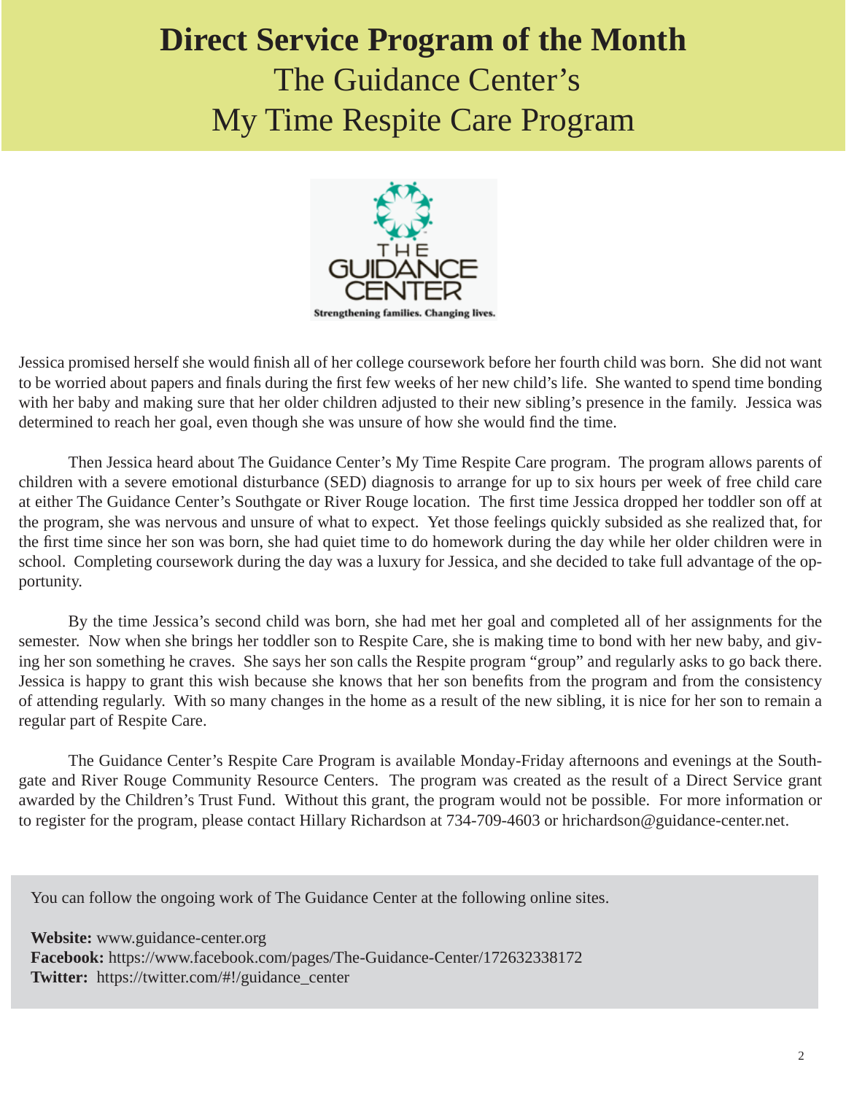# **Direct Service Program of the Month** The Guidance Center's My Time Respite Care Program



Jessica promised herself she would finish all of her college coursework before her fourth child was born. She did not want to be worried about papers and finals during the first few weeks of her new child's life. She wanted to spend time bonding with her baby and making sure that her older children adjusted to their new sibling's presence in the family. Jessica was determined to reach her goal, even though she was unsure of how she would find the time.

 Then Jessica heard about The Guidance Center's My Time Respite Care program. The program allows parents of children with a severe emotional disturbance (SED) diagnosis to arrange for up to six hours per week of free child care at either The Guidance Center's Southgate or River Rouge location. The first time Jessica dropped her toddler son off at the program, she was nervous and unsure of what to expect. Yet those feelings quickly subsided as she realized that, for the first time since her son was born, she had quiet time to do homework during the day while her older children were in school. Completing coursework during the day was a luxury for Jessica, and she decided to take full advantage of the opportunity.

 By the time Jessica's second child was born, she had met her goal and completed all of her assignments for the semester. Now when she brings her toddler son to Respite Care, she is making time to bond with her new baby, and giving her son something he craves. She says her son calls the Respite program "group" and regularly asks to go back there. Jessica is happy to grant this wish because she knows that her son benefits from the program and from the consistency of attending regularly. With so many changes in the home as a result of the new sibling, it is nice for her son to remain a regular part of Respite Care.

 The Guidance Center's Respite Care Program is available Monday-Friday afternoons and evenings at the Southgate and River Rouge Community Resource Centers. The program was created as the result of a Direct Service grant awarded by the Children's Trust Fund. Without this grant, the program would not be possible. For more information or to register for the program, please contact Hillary Richardson at 734-709-4603 or hrichardson@guidance-center.net.

You can follow the ongoing work of The Guidance Center at the following online sites.

**Website:** www.guidance-center.org **Facebook:** https://www.facebook.com/pages/The-Guidance-Center/172632338172 **Twitter:** https://twitter.com/#!/guidance\_center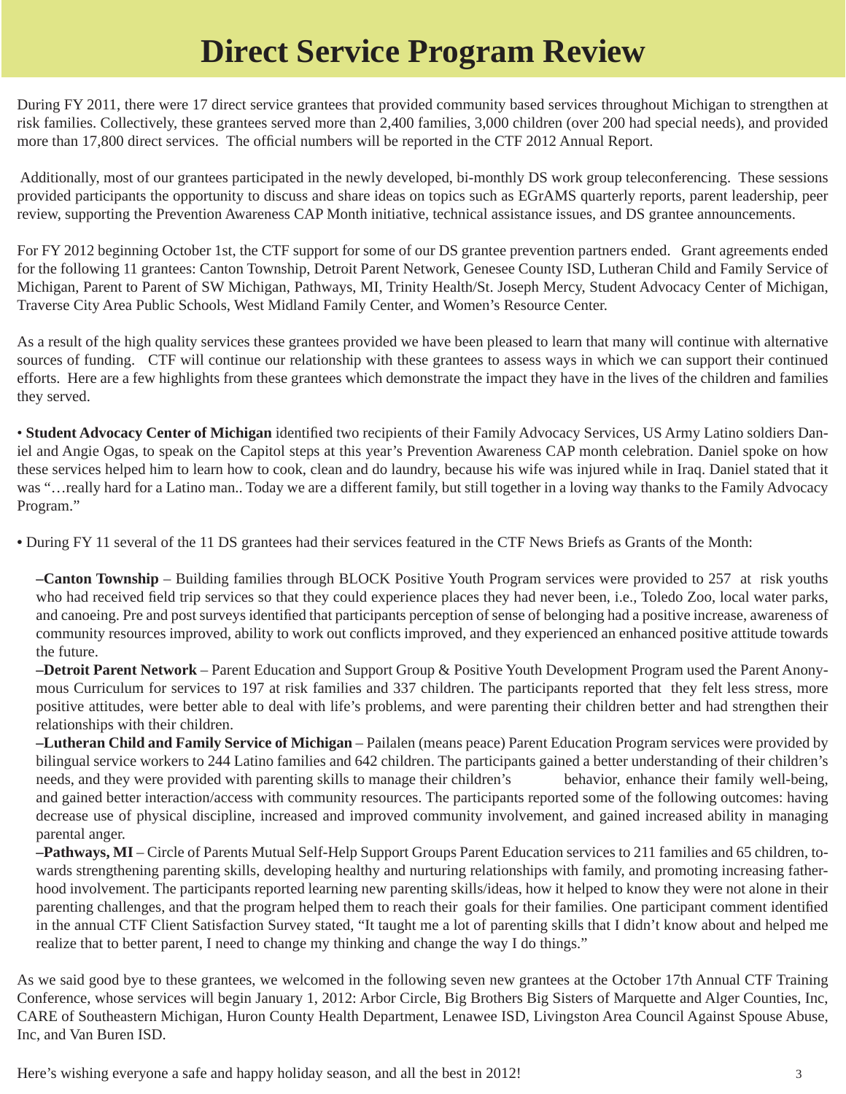## **Direct Service Program Review**

During FY 2011, there were 17 direct service grantees that provided community based services throughout Michigan to strengthen at risk families. Collectively, these grantees served more than 2,400 families, 3,000 children (over 200 had special needs), and provided more than 17,800 direct services. The official numbers will be reported in the CTF 2012 Annual Report.

 Additionally, most of our grantees participated in the newly developed, bi-monthly DS work group teleconferencing. These sessions provided participants the opportunity to discuss and share ideas on topics such as EGrAMS quarterly reports, parent leadership, peer review, supporting the Prevention Awareness CAP Month initiative, technical assistance issues, and DS grantee announcements.

For FY 2012 beginning October 1st, the CTF support for some of our DS grantee prevention partners ended. Grant agreements ended for the following 11 grantees: Canton Township, Detroit Parent Network, Genesee County ISD, Lutheran Child and Family Service of Michigan, Parent to Parent of SW Michigan, Pathways, MI, Trinity Health/St. Joseph Mercy, Student Advocacy Center of Michigan, Traverse City Area Public Schools, West Midland Family Center, and Women's Resource Center.

As a result of the high quality services these grantees provided we have been pleased to learn that many will continue with alternative sources of funding. CTF will continue our relationship with these grantees to assess ways in which we can support their continued efforts. Here are a few highlights from these grantees which demonstrate the impact they have in the lives of the children and families they served.

• Student Advocacy Center of Michigan identified two recipients of their Family Advocacy Services, US Army Latino soldiers Daniel and Angie Ogas, to speak on the Capitol steps at this year's Prevention Awareness CAP month celebration. Daniel spoke on how these services helped him to learn how to cook, clean and do laundry, because his wife was injured while in Iraq. Daniel stated that it was "…really hard for a Latino man.. Today we are a different family, but still together in a loving way thanks to the Family Advocacy Program."

**•** During FY 11 several of the 11 DS grantees had their services featured in the CTF News Briefs as Grants of the Month:

 **–Canton Township** – Building families through BLOCK Positive Youth Program services were provided to 257 at risk youths who had received field trip services so that they could experience places they had never been, i.e., Toledo Zoo, local water parks, and canoeing. Pre and post surveys identified that participants perception of sense of belonging had a positive increase, awareness of community resources improved, ability to work out conflicts improved, and they experienced an enhanced positive attitude towards the future.

 **–Detroit Parent Network** – Parent Education and Support Group & Positive Youth Development Program used the Parent Anonymous Curriculum for services to 197 at risk families and 337 children. The participants reported that they felt less stress, more positive attitudes, were better able to deal with life's problems, and were parenting their children better and had strengthen their relationships with their children.

 **–Lutheran Child and Family Service of Michigan** – Pailalen (means peace) Parent Education Program services were provided by bilingual service workers to 244 Latino families and 642 children. The participants gained a better understanding of their children's needs, and they were provided with parenting skills to manage their children's behavior, enhance their family well-being, and gained better interaction/access with community resources. The participants reported some of the following outcomes: having decrease use of physical discipline, increased and improved community involvement, and gained increased ability in managing parental anger.

 **–Pathways, MI** – Circle of Parents Mutual Self-Help Support Groups Parent Education services to 211 families and 65 children, towards strengthening parenting skills, developing healthy and nurturing relationships with family, and promoting increasing fatherhood involvement. The participants reported learning new parenting skills/ideas, how it helped to know they were not alone in their parenting challenges, and that the program helped them to reach their goals for their families. One participant comment identified in the annual CTF Client Satisfaction Survey stated, "It taught me a lot of parenting skills that I didn't know about and helped me realize that to better parent, I need to change my thinking and change the way I do things."

As we said good bye to these grantees, we welcomed in the following seven new grantees at the October 17th Annual CTF Training Conference, whose services will begin January 1, 2012: Arbor Circle, Big Brothers Big Sisters of Marquette and Alger Counties, Inc, CARE of Southeastern Michigan, Huron County Health Department, Lenawee ISD, Livingston Area Council Against Spouse Abuse, Inc, and Van Buren ISD.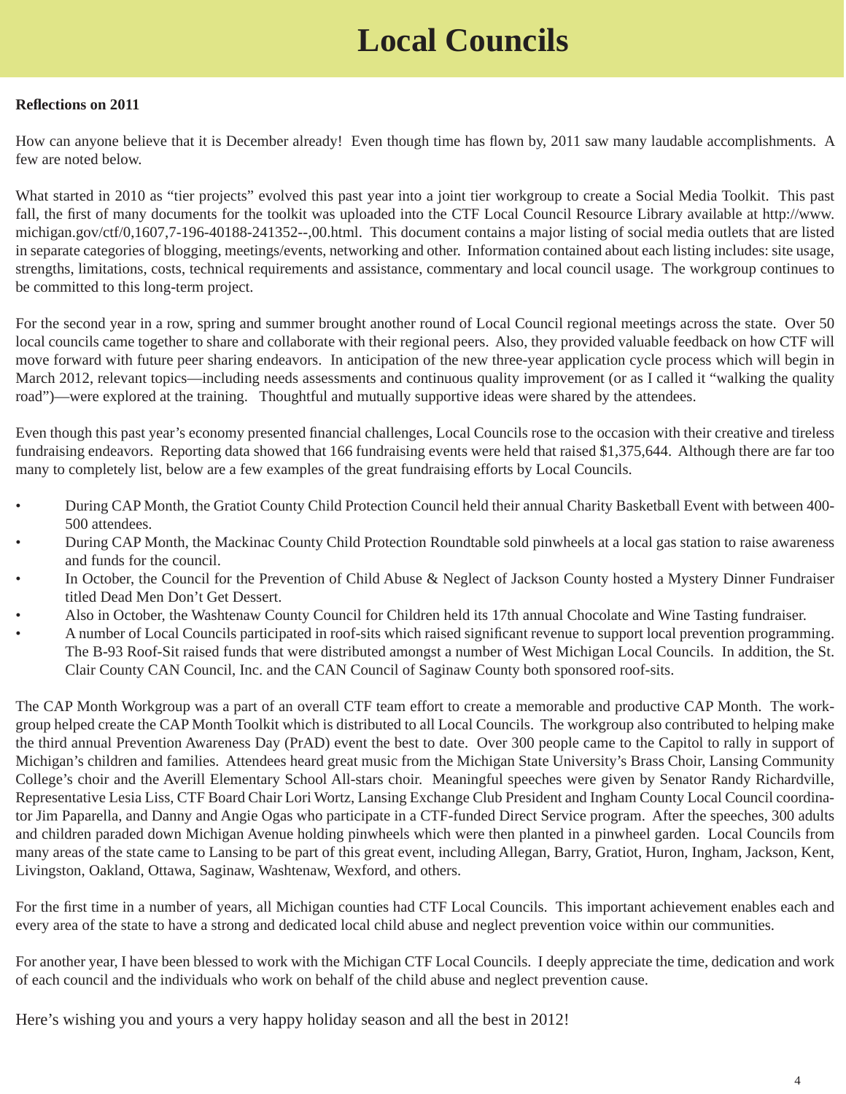# **Local Councils**

#### **Refl ections on 2011**

How can anyone believe that it is December already! Even though time has flown by, 2011 saw many laudable accomplishments. A few are noted below.

What started in 2010 as "tier projects" evolved this past year into a joint tier workgroup to create a Social Media Toolkit. This past fall, the first of many documents for the toolkit was uploaded into the CTF Local Council Resource Library available at http://www. [michigan.gov/ctf/0,1607,7-196-40188-241352--,00.html. This document contains a major listing of social media outlets that are listed](http://www.michigan.gov/ctf/0,1607,7-196-40188-241352--,00.html) in separate categories of blogging, meetings/events, networking and other. Information contained about each listing includes: site usage, strengths, limitations, costs, technical requirements and assistance, commentary and local council usage. The workgroup continues to be committed to this long-term project.

For the second year in a row, spring and summer brought another round of Local Council regional meetings across the state. Over 50 local councils came together to share and collaborate with their regional peers. Also, they provided valuable feedback on how CTF will move forward with future peer sharing endeavors. In anticipation of the new three-year application cycle process which will begin in March 2012, relevant topics—including needs assessments and continuous quality improvement (or as I called it "walking the quality road")—were explored at the training. Thoughtful and mutually supportive ideas were shared by the attendees.

Even though this past year's economy presented financial challenges, Local Councils rose to the occasion with their creative and tireless fundraising endeavors. Reporting data showed that 166 fundraising events were held that raised \$1,375,644. Although there are far too many to completely list, below are a few examples of the great fundraising efforts by Local Councils.

- During CAP Month, the Gratiot County Child Protection Council held their annual Charity Basketball Event with between 400- 500 attendees.
- During CAP Month, the Mackinac County Child Protection Roundtable sold pinwheels at a local gas station to raise awareness and funds for the council.
- In October, the Council for the Prevention of Child Abuse & Neglect of Jackson County hosted a Mystery Dinner Fundraiser titled Dead Men Don't Get Dessert.
- Also in October, the Washtenaw County Council for Children held its 17th annual Chocolate and Wine Tasting fundraiser.
- A number of Local Councils participated in roof-sits which raised significant revenue to support local prevention programming. The B-93 Roof-Sit raised funds that were distributed amongst a number of West Michigan Local Councils. In addition, the St. Clair County CAN Council, Inc. and the CAN Council of Saginaw County both sponsored roof-sits.

The CAP Month Workgroup was a part of an overall CTF team effort to create a memorable and productive CAP Month. The workgroup helped create the CAP Month Toolkit which is distributed to all Local Councils. The workgroup also contributed to helping make the third annual Prevention Awareness Day (PrAD) event the best to date. Over 300 people came to the Capitol to rally in support of Michigan's children and families. Attendees heard great music from the Michigan State University's Brass Choir, Lansing Community College's choir and the Averill Elementary School All-stars choir. Meaningful speeches were given by Senator Randy Richardville, Representative Lesia Liss, CTF Board Chair Lori Wortz, Lansing Exchange Club President and Ingham County Local Council coordinator Jim Paparella, and Danny and Angie Ogas who participate in a CTF-funded Direct Service program. After the speeches, 300 adults and children paraded down Michigan Avenue holding pinwheels which were then planted in a pinwheel garden. Local Councils from many areas of the state came to Lansing to be part of this great event, including Allegan, Barry, Gratiot, Huron, Ingham, Jackson, Kent, Livingston, Oakland, Ottawa, Saginaw, Washtenaw, Wexford, and others.

For the first time in a number of years, all Michigan counties had CTF Local Councils. This important achievement enables each and every area of the state to have a strong and dedicated local child abuse and neglect prevention voice within our communities.

For another year, I have been blessed to work with the Michigan CTF Local Councils. I deeply appreciate the time, dedication and work of each council and the individuals who work on behalf of the child abuse and neglect prevention cause.

Here's wishing you and yours a very happy holiday season and all the best in 2012!